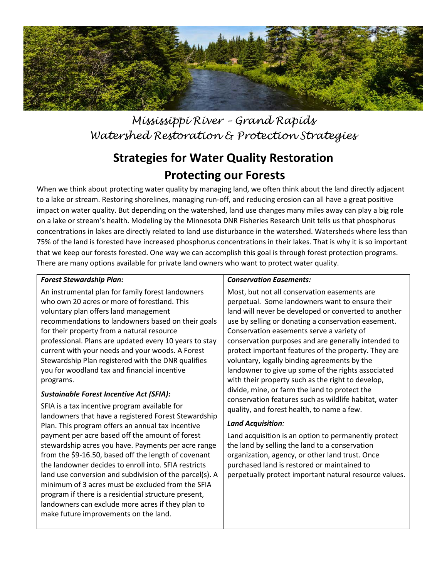

*Mississippi River – Grand Rapids Watershed Restoration & Protection Strategies*

# **Strategies for Water Quality Restoration Protecting our Forests**

When we think about protecting water quality by managing land, we often think about the land directly adjacent to a lake or stream. Restoring shorelines, managing run-off, and reducing erosion can all have a great positive impact on water quality. But depending on the watershed, land use changes many miles away can play a big role on a lake or stream's health. Modeling by the Minnesota DNR Fisheries Research Unit tells us that phosphorus concentrations in lakes are directly related to land use disturbance in the watershed. Watersheds where less than 75% of the land is forested have increased phosphorus concentrations in their lakes. That is why it is so important that we keep our forests forested. One way we can accomplish this goal is through forest protection programs. There are many options available for private land owners who want to protect water quality.

### *Forest Stewardship Plan:*

An instrumental plan for family forest landowners who own 20 acres or more of forestland. This voluntary plan offers land management recommendations to landowners based on their goals for their property from a natural resource professional. Plans are updated every 10 years to stay current with your needs and your woods. A Forest Stewardship Plan registered with the DNR qualifies you for woodland tax and financial incentive programs.

#### *Sustainable Forest Incentive Act (SFIA):*

SFIA is a tax incentive program available for landowners that have a registered Forest Stewardship Plan. This program offers an annual tax incentive payment per acre based off the amount of forest stewardship acres you have. Payments per acre range from the \$9-16.50, based off the length of covenant the landowner decides to enroll into. SFIA restricts land use conversion and subdivision of the parcel(s). A minimum of 3 acres must be excluded from the SFIA program if there is a residential structure present, landowners can exclude more acres if they plan to make future improvements on the land.

#### *Conservation Easements:*

Most, but not all conservation easements are perpetual. Some landowners want to ensure their land will never be developed or converted to another use by selling or donating a conservation easement. Conservation easements serve a variety of conservation purposes and are generally intended to protect important features of the property. They are voluntary, legally binding agreements by the landowner to give up some of the rights associated with their property such as the right to develop, divide, mine, or farm the land to protect the conservation features such as wildlife habitat, water quality, and forest health, to name a few.

#### *Land Acquisition:*

Land acquisition is an option to permanently protect the land by selling the land to a conservation organization, agency, or other land trust. Once purchased land is restored or maintained to perpetually protect important natural resource values.